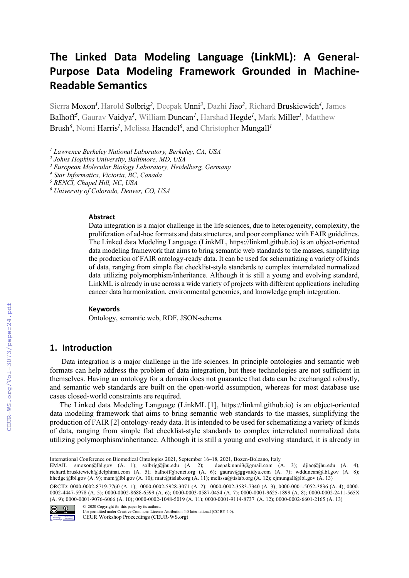# **The Linked Data Modeling Language (LinkML): A General-Purpose Data Modeling Framework Grounded in Machine-Readable Semantics**

Sierra Moxon*<sup>1</sup> ,* Harold Solbrig*<sup>2</sup>*, Deepak Unni*<sup>3</sup>*, Dazhi Jiao*<sup>2</sup>*, Richard Bruskiewich*<sup>4</sup>*, James Balhoff*<sup>5</sup>* , Gaurav Vaidya*<sup>5</sup>* , William Duncan*<sup>1</sup>* , Harshad Hegde*<sup>1</sup>* , Mark Miller*<sup>1</sup>* , Matthew Brush*<sup>6</sup>* , Nomi Harris*<sup>1</sup>* , Melissa Haendel*<sup>6</sup>* , and Christopher Mungall*<sup>1</sup>*

*<sup>1</sup> Lawrence Berkeley National Laboratory, Berkeley, CA, USA*

*<sup>3</sup> European Molecular Biology Laboratory, Heidelberg, Germany*

*<sup>4</sup> Star Informatics, Victoria, BC, Canada*

*<sup>5</sup> RENCI, Chapel Hill, NC, USA*

*<sup>6</sup> University of Colorado, Denver, CO, USA*

#### **Abstract**

Data integration is a major challenge in the life sciences, due to heterogeneity, complexity, the proliferation of ad-hoc formats and data structures, and poor compliance with FAIR guidelines. The Linked data Modeling Language (LinkML, https://linkml.github.io) is an object-oriented data modeling framework that aims to bring semantic web standards to the masses, simplifying the production of FAIR ontology-ready data. It can be used for schematizing a variety of kinds of data, ranging from simple flat checklist-style standards to complex interrelated normalized data utilizing polymorphism/inheritance. Although it is still a young and evolving standard, LinkML is already in use across a wide variety of projects with different applications including cancer data harmonization, environmental genomics, and knowledge graph integration.

#### **Keywords**

Ontology, semantic web, RDF, JSON-schema

## **1. Introduction**

Data integration is a major challenge in the life sciences. In principle ontologies and semantic web formats can help address the problem of data integration, but these technologies are not sufficient in themselves. Having an ontology for a domain does not guarantee that data can be exchanged robustly, and semantic web standards are built on the open-world assumption, whereas for most database use cases closed-world constraints are required.

The Linked data Modeling Language (LinkML [1], https://linkml.github.io) is an object-oriented data modeling framework that aims to bring semantic web standards to the masses, simplifying the production of FAIR [2] ontology-ready data. It is intended to be used for schematizing a variety of kinds of data, ranging from simple flat checklist-style standards to complex interrelated normalized data utilizing polymorphism/inheritance. Although it is still a young and evolving standard, it is already in

ORCID: 0000-0002-8719-7760 (A. 1); 0000-0002-5928-3071 (A. 2); 0000-0002-3583-7340 (A. 3); 0000-0001-5052-3836 (A. 4); 0000- 0002-4447-5978 (A. 5); 0000-0002-8688-6599 (A. 6); 0000-0003-0587-0454 (A. 7); 0000-0001-9625-1899 (A. 8); 0000-0002-2411-565X (A. 9); 0000-0001-9076-6066 (A. 10); 0000-0002-1048-5019 (A. 11); 0000-0001-9114-8737 (A. 12); 0000-0002-6601-2165 (A. 13) © 2020 Copyright for this paper by its authors.



Use permitted under Creative Commons License Attribution 4.0 International (CC BY 4.0).

CEUR Workshop Proceedings (CEUR-WS.org)

*<sup>2</sup> Johns Hopkins University, Baltimore, MD, USA*

International Conference on Biomedical Ontologies 2021, September 16–18, 2021, Bozen-Bolzano, Italy

EMAIL: smoxon@lbl.gov (A. 1); solbrig@jhu.edu (A. 2); deepak.unni3@gmail.com (A. 3); djiao@jhu.edu (A. 4), richard.bruskiewich@delphinai.com (A. 5); balhoff@renci.org (A. 6); gaurav@ggvaidya.com (A. 7); wdduncan@lbl.gov (A. 8); hhedge@lbl.gov (A. 9); mam@lbl.gov (A. 10); matt@tislab.org (A. 11); melissa@tislab.org (A. 12); cjmungall@lbl.gov (A. 13)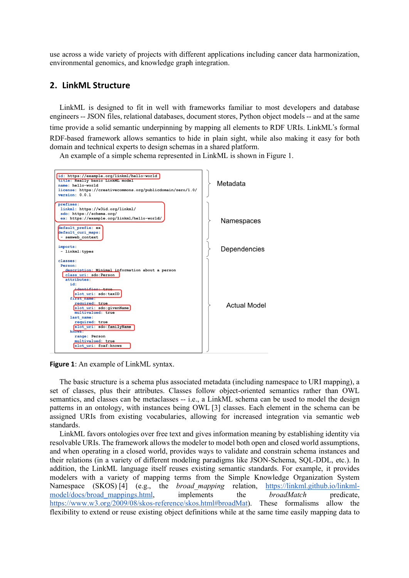use across a wide variety of projects with different applications including cancer data harmonization, environmental genomics, and knowledge graph integration.

## **2. LinkML Structure**

LinkML is designed to fit in well with frameworks familiar to most developers and database engineers -- JSON files, relational databases, document stores, Python object models -- and at the same time provide a solid semantic underpinning by mapping all elements to RDF URIs. LinkML's formal RDF-based framework allows semantics to hide in plain sight, while also making it easy for both domain and technical experts to design schemas in a shared platform.

An example of a simple schema represented in LinkML is shown in Figure 1.



**Figure 1**: An example of LinkML syntax.

The basic structure is a schema plus associated metadata (including namespace to URI mapping), a set of classes, plus their attributes. Classes follow object-oriented semantics rather than OWL semantics, and classes can be metaclasses -- i.e., a LinkML schema can be used to model the design patterns in an ontology, with instances being OWL [3] classes. Each element in the schema can be assigned URIs from existing vocabularies, allowing for increased integration via semantic web standards.

LinkML favors ontologies over free text and gives information meaning by establishing identity via resolvable URIs. The framework allows the modeler to model both open and closed world assumptions, and when operating in a closed world, provides ways to validate and constrain schema instances and their relations (in a variety of different modeling paradigms like JSON-Schema, SQL-DDL, etc.). In addition, the LinkML language itself reuses existing semantic standards. For example, it provides modelers with a variety of mapping terms from the Simple Knowledge Organization System Namespace (SKOS) [4] (e.g., the *broad mapping* relation, https://linkml.github.io/linkmlmodel/docs/broad\_mappings.html, implements the *broadMatch* predicate, https://www.w3.org/2009/08/skos-reference/skos.html#broadMat). These formalisms allow the flexibility to extend or reuse existing object definitions while at the same time easily mapping data to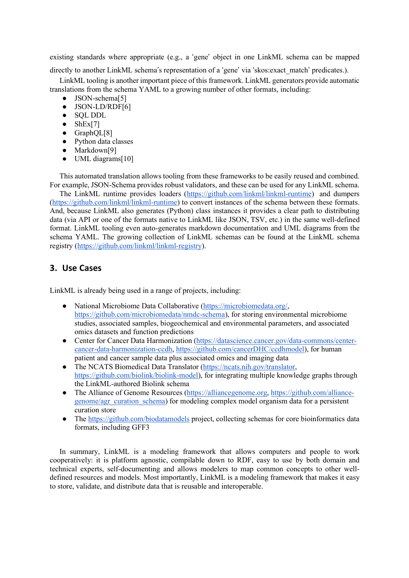existing standards where appropriate (e.g., a 'gene' object in one LinkML schema can be mapped

directly to another LinkML schema's representation of a 'gene' via 'skos:exact\_match' predicates.).

LinkML tooling is another important piece of this framework. LinkML generators provide automatic translations from the schema YAML to a growing number of other formats, including:

- JSON-schema<sup>[5]</sup>
- JSON-LD/RDF[6]
- SQL DDL
- $\bullet$  ShEx[7]
- GraphQL[8]
- Python data classes
- Markdown[9]
- UML diagrams[10]

This automated translation allows tooling from these frameworks to be easily reused and combined. For example, JSON-Schema provides robust validators, and these can be used for any LinkML schema.

The LinkML runtime provides loaders (https://github.com/linkml/linkml-runtime) and dumpers (https://github.com/linkml/linkml-runtime) to convert instances of the schema between these formats. And, because LinkML also generates (Python) class instances it provides a clear path to distributing data (via API or one of the formats native to LinkML like JSON, TSV, etc.) in the same well-defined format. LinkML tooling even auto-generates markdown documentation and UML diagrams from the schema YAML. The growing collection of LinkML schemas can be found at the LinkML schema registry (https://github.com/linkml/linkml-registry).

# **3. Use Cases**

LinkML is already being used in a range of projects, including:

- National Microbiome Data Collaborative (https://microbiomedata.org/, https://github.com/microbiomedata/nmdc-schema), for storing environmental microbiome studies, associated samples, biogeochemical and environmental parameters, and associated omics datasets and function predictions
- Center for Cancer Data Harmonization (https://datascience.cancer.gov/data-commons/centercancer-data-harmonization-ccdh, https://github.com/cancerDHC/ccdhmodel), for human patient and cancer sample data plus associated omics and imaging data
- The NCATS Biomedical Data Translator (https://ncats.nih.gov/translator, https://github.com/biolink/biolink-model), for integrating multiple knowledge graphs through the LinkML-authored Biolink schema
- The Alliance of Genome Resources (https://alliancegenome.org, https://github.com/alliancegenome/agr\_curation\_schema) for modeling complex model organism data for a persistent curation store
- The https://github.com/biodatamodels project, collecting schemas for core bioinformatics data formats, including GFF3

In summary, LinkML is a modeling framework that allows computers and people to work cooperatively: it is platform agnostic, compilable down to RDF, easy to use by both domain and technical experts, self-documenting and allows modelers to map common concepts to other welldefined resources and models. Most importantly, LinkML is a modeling framework that makes it easy to store, validate, and distribute data that is reusable and interoperable.